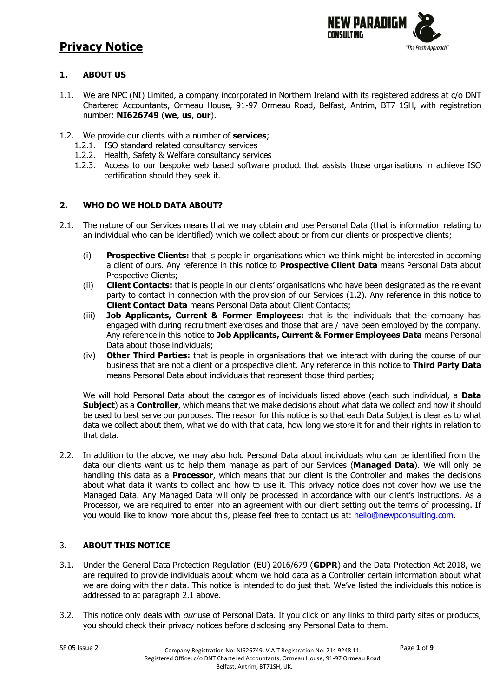

## **1. ABOUT US**

- 1.1. We are NPC (NI) Limited, a company incorporated in Northern Ireland with its registered address at c/o DNT Chartered Accountants, Ormeau House, 91-97 Ormeau Road, Belfast, Antrim, BT7 1SH, with registration number: **NI626749** (**we**, **us**, **our**).
- 1.2. We provide our clients with a number of **services**;
	- 1.2.1. ISO standard related consultancy services
	- 1.2.2. Health, Safety & Welfare consultancy services
	- 1.2.3. Access to our bespoke web based software product that assists those organisations in achieve ISO certification should they seek it.

## **2. WHO DO WE HOLD DATA ABOUT?**

- 2.1. The nature of our Services means that we may obtain and use Personal Data (that is information relating to an individual who can be identified) which we collect about or from our clients or prospective clients;
	- (i) **Prospective Clients:** that is people in organisations which we think might be interested in becoming a client of ours. Any reference in this notice to **Prospective Client Data** means Personal Data about Prospective Clients;
	- (ii) **Client Contacts:** that is people in our clients' organisations who have been designated as the relevant party to contact in connection with the provision of our Services (1.2). Any reference in this notice to **Client Contact Data** means Personal Data about Client Contacts;
	- (iii) **Job Applicants, Current & Former Employees:** that is the individuals that the company has engaged with during recruitment exercises and those that are / have been employed by the company. Any reference in this notice to **Job Applicants, Current & Former Employees Data** means Personal Data about those individuals;
	- (iv) **Other Third Parties:** that is people in organisations that we interact with during the course of our business that are not a client or a prospective client. Any reference in this notice to **Third Party Data** means Personal Data about individuals that represent those third parties;

We will hold Personal Data about the categories of individuals listed above (each such individual, a **Data Subject**) as a **Controller**, which means that we make decisions about what data we collect and how it should be used to best serve our purposes. The reason for this notice is so that each Data Subject is clear as to what data we collect about them, what we do with that data, how long we store it for and their rights in relation to that data.

2.2. In addition to the above, we may also hold Personal Data about individuals who can be identified from the data our clients want us to help them manage as part of our Services (**Managed Data**). We will only be handling this data as a **Processor**, which means that our client is the Controller and makes the decisions about what data it wants to collect and how to use it. This privacy notice does not cover how we use the Managed Data. Any Managed Data will only be processed in accordance with our client's instructions. As a Processor, we are required to enter into an agreement with our client setting out the terms of processing. If you would like to know more about this, please feel free to contact us at: [hello@newpconsulting.com.](mailto:dpo@newpconsulting.com)

## 3. **ABOUT THIS NOTICE**

- 3.1. Under the General Data Protection Regulation (EU) 2016/679 (**GDPR**) and the Data Protection Act 2018, we are required to provide individuals about whom we hold data as a Controller certain information about what we are doing with their data. This notice is intended to do just that. We've listed the individuals this notice is addressed to at paragraph 2.1 above.
- 3.2. This notice only deals with *our* use of Personal Data. If you click on any links to third party sites or products, you should check their privacy notices before disclosing any Personal Data to them.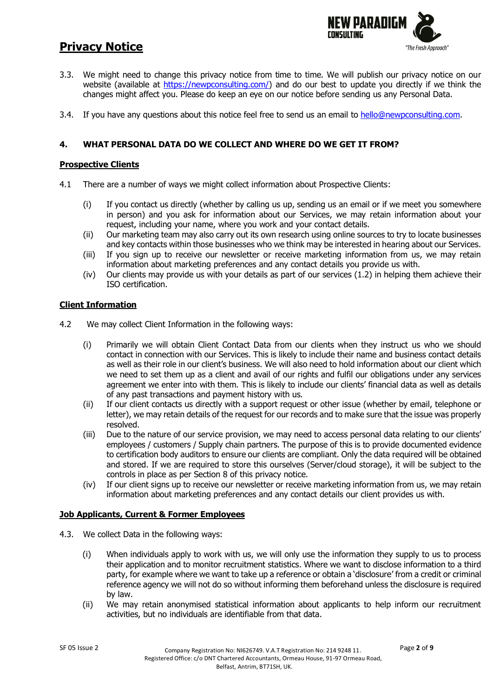

- 3.3. We might need to change this privacy notice from time to time. We will publish our privacy notice on our website (available at [https://newpconsulting.com/\)](https://newpconsulting.com/) and do our best to update you directly if we think the changes might affect you. Please do keep an eye on our notice before sending us any Personal Data.
- 3.4. If you have any questions about this notice feel free to send us an email to [hello@newpconsulting.com.](mailto:dpo@newpconsulting.com)

### **4. WHAT PERSONAL DATA DO WE COLLECT AND WHERE DO WE GET IT FROM?**

#### **Prospective Clients**

- 4.1 There are a number of ways we might collect information about Prospective Clients:
	- (i) If you contact us directly (whether by calling us up, sending us an email or if we meet you somewhere in person) and you ask for information about our Services, we may retain information about your request, including your name, where you work and your contact details.
	- (ii) Our marketing team may also carry out its own research using online sources to try to locate businesses and key contacts within those businesses who we think may be interested in hearing about our Services.
	- (iii) If you sign up to receive our newsletter or receive marketing information from us, we may retain information about marketing preferences and any contact details you provide us with.
	- (iv) Our clients may provide us with your details as part of our services (1.2) in helping them achieve their ISO certification.

#### **Client Information**

- 4.2 We may collect Client Information in the following ways:
	- (i) Primarily we will obtain Client Contact Data from our clients when they instruct us who we should contact in connection with our Services. This is likely to include their name and business contact details as well as their role in our client's business. We will also need to hold information about our client which we need to set them up as a client and avail of our rights and fulfil our obligations under any services agreement we enter into with them. This is likely to include our clients' financial data as well as details of any past transactions and payment history with us.
	- (ii) If our client contacts us directly with a support request or other issue (whether by email, telephone or letter), we may retain details of the request for our records and to make sure that the issue was properly resolved.
	- (iii) Due to the nature of our service provision, we may need to access personal data relating to our clients' employees / customers / Supply chain partners. The purpose of this is to provide documented evidence to certification body auditors to ensure our clients are compliant. Only the data required will be obtained and stored. If we are required to store this ourselves (Server/cloud storage), it will be subject to the controls in place as per Section 8 of this privacy notice.
	- (iv) If our client signs up to receive our newsletter or receive marketing information from us, we may retain information about marketing preferences and any contact details our client provides us with.

#### **Job Applicants, Current & Former Employees**

- 4.3. We collect Data in the following ways:
	- (i) When individuals apply to work with us, we will only use the information they supply to us to process their application and to monitor recruitment statistics. Where we want to disclose information to a third party, for example where we want to take up a reference or obtain a 'disclosure' from a credit or criminal reference agency we will not do so without informing them beforehand unless the disclosure is required by law.
	- (ii) We may retain anonymised statistical information about applicants to help inform our recruitment activities, but no individuals are identifiable from that data.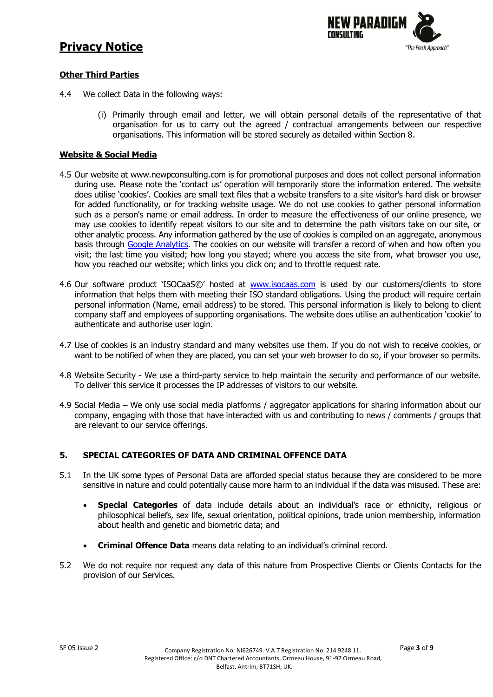

### **Other Third Parties**

- 4.4 We collect Data in the following ways:
	- (i) Primarily through email and letter, we will obtain personal details of the representative of that organisation for us to carry out the agreed / contractual arrangements between our respective organisations. This information will be stored securely as detailed within Section 8.

### **Website & Social Media**

- 4.5 Our website at www.newpconsulting.com is for promotional purposes and does not collect personal information during use. Please note the 'contact us' operation will temporarily store the information entered. The website does utilise 'cookies'. Cookies are small text files that a website transfers to a site visitor's hard disk or browser for added functionality, or for tracking website usage. We do not use cookies to gather personal information such as a person's name or email address. In order to measure the effectiveness of our online presence, we may use cookies to identify repeat visitors to our site and to determine the path visitors take on our site, or other analytic process. Any information gathered by the use of cookies is compiled on an aggregate, anonymous basis through [Google Analytics.](https://privacy.google.com/businesses/compliance/#?modal_active=none) The cookies on our website will transfer a record of when and how often you visit; the last time you visited; how long you stayed; where you access the site from, what browser you use, how you reached our website; which links you click on; and to throttle request rate.
- 4.6 Our software product 'ISOCaaS©' hosted at [www.isocaas.com](http://www.isocaas.com/) is used by our customers/clients to store information that helps them with meeting their ISO standard obligations. Using the product will require certain personal information (Name, email address) to be stored. This personal information is likely to belong to client company staff and employees of supporting organisations. The website does utilise an authentication 'cookie' to authenticate and authorise user login.
- 4.7 Use of cookies is an industry standard and many websites use them. If you do not wish to receive cookies, or want to be notified of when they are placed, you can set your web browser to do so, if your browser so permits.
- 4.8 Website Security We use a third-party service to help maintain the security and performance of our website. To deliver this service it processes the IP addresses of visitors to our website.
- 4.9 Social Media We only use social media platforms / aggregator applications for sharing information about our company, engaging with those that have interacted with us and contributing to news / comments / groups that are relevant to our service offerings.

#### **5. SPECIAL CATEGORIES OF DATA AND CRIMINAL OFFENCE DATA**

- 5.1 In the UK some types of Personal Data are afforded special status because they are considered to be more sensitive in nature and could potentially cause more harm to an individual if the data was misused. These are:
	- **Special Categories** of data include details about an individual's race or ethnicity, religious or philosophical beliefs, sex life, sexual orientation, political opinions, trade union membership, information about health and genetic and biometric data; and
	- **Criminal Offence Data** means data relating to an individual's criminal record.
- 5.2 We do not require nor request any data of this nature from Prospective Clients or Clients Contacts for the provision of our Services.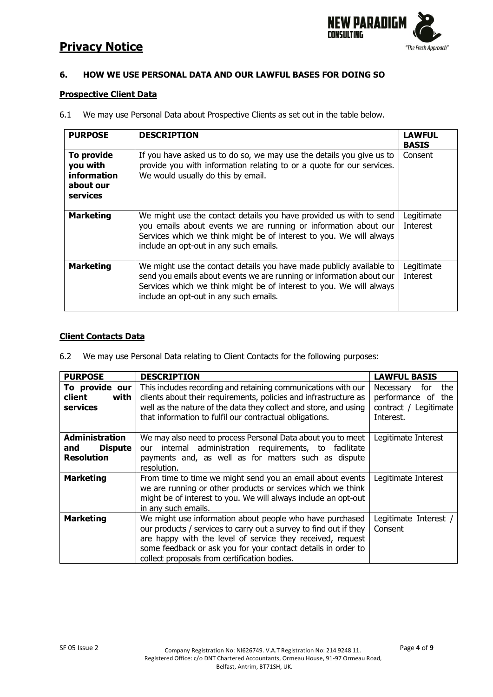

## **6. HOW WE USE PERSONAL DATA AND OUR LAWFUL BASES FOR DOING SO**

### **Prospective Client Data**

6.1 We may use Personal Data about Prospective Clients as set out in the table below.

| <b>PURPOSE</b>                                                 | <b>DESCRIPTION</b>                                                                                                                                                                                                                                            | <b>LAWFUL</b><br><b>BASIS</b> |
|----------------------------------------------------------------|---------------------------------------------------------------------------------------------------------------------------------------------------------------------------------------------------------------------------------------------------------------|-------------------------------|
| To provide<br>you with<br>information<br>about our<br>services | If you have asked us to do so, we may use the details you give us to<br>provide you with information relating to or a quote for our services.<br>We would usually do this by email.                                                                           | Consent                       |
| <b>Marketing</b>                                               | We might use the contact details you have provided us with to send<br>you emails about events we are running or information about our<br>Services which we think might be of interest to you. We will always<br>include an opt-out in any such emails.        | Legitimate<br><b>Interest</b> |
| <b>Marketing</b>                                               | We might use the contact details you have made publicly available to<br>send you emails about events we are running or information about our<br>Services which we think might be of interest to you. We will always<br>include an opt-out in any such emails. | Legitimate<br><b>Interest</b> |

# **Client Contacts Data**

6.2 We may use Personal Data relating to Client Contacts for the following purposes:

| <b>PURPOSE</b>                                                      | <b>DESCRIPTION</b>                                                                                                                                                                                                                                                                                           | <b>LAWFUL BASIS</b>                                                                 |
|---------------------------------------------------------------------|--------------------------------------------------------------------------------------------------------------------------------------------------------------------------------------------------------------------------------------------------------------------------------------------------------------|-------------------------------------------------------------------------------------|
| To provide our<br>with<br>client<br>services                        | This includes recording and retaining communications with our<br>clients about their requirements, policies and infrastructure as<br>well as the nature of the data they collect and store, and using<br>that information to fulfil our contractual obligations.                                             | for<br>the<br>Necessary<br>performance of the<br>contract / Legitimate<br>Interest. |
| <b>Administration</b><br><b>Dispute</b><br>and<br><b>Resolution</b> | We may also need to process Personal Data about you to meet<br>internal administration requirements, to facilitate<br>our<br>payments and, as well as for matters such as dispute<br>resolution.                                                                                                             | Legitimate Interest                                                                 |
| <b>Marketing</b>                                                    | From time to time we might send you an email about events<br>we are running or other products or services which we think<br>might be of interest to you. We will always include an opt-out<br>in any such emails.                                                                                            | Legitimate Interest                                                                 |
| <b>Marketing</b>                                                    | We might use information about people who have purchased<br>our products / services to carry out a survey to find out if they<br>are happy with the level of service they received, request<br>some feedback or ask you for your contact details in order to<br>collect proposals from certification bodies. | Legitimate Interest /<br>Consent                                                    |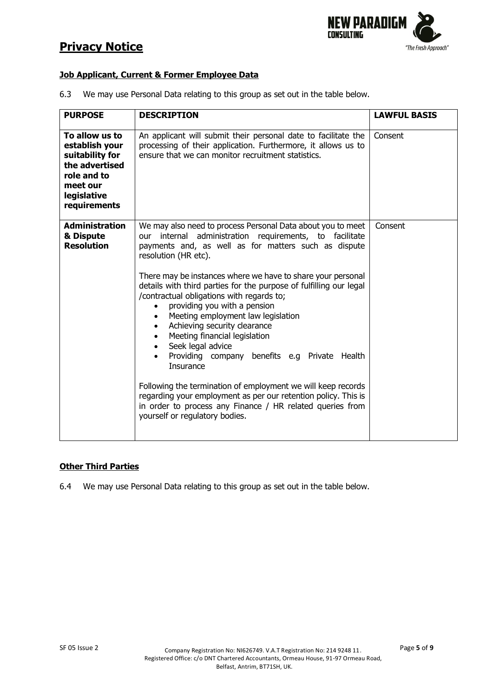

## **Job Applicant, Current & Former Employee Data**

6.3 We may use Personal Data relating to this group as set out in the table below.

| <b>PURPOSE</b>                                                                                                                  | <b>DESCRIPTION</b>                                                                                                                                                                                                                                                                                                                                                                                                                                                                                                                                                                                                                                                                                                                                                                                                                                               | <b>LAWFUL BASIS</b> |
|---------------------------------------------------------------------------------------------------------------------------------|------------------------------------------------------------------------------------------------------------------------------------------------------------------------------------------------------------------------------------------------------------------------------------------------------------------------------------------------------------------------------------------------------------------------------------------------------------------------------------------------------------------------------------------------------------------------------------------------------------------------------------------------------------------------------------------------------------------------------------------------------------------------------------------------------------------------------------------------------------------|---------------------|
| To allow us to<br>establish your<br>suitability for<br>the advertised<br>role and to<br>meet our<br>legislative<br>requirements | An applicant will submit their personal date to facilitate the<br>processing of their application. Furthermore, it allows us to<br>ensure that we can monitor recruitment statistics.                                                                                                                                                                                                                                                                                                                                                                                                                                                                                                                                                                                                                                                                            | Consent             |
| <b>Administration</b><br>& Dispute<br><b>Resolution</b>                                                                         | We may also need to process Personal Data about you to meet<br>our internal administration requirements, to facilitate<br>payments and, as well as for matters such as dispute<br>resolution (HR etc).<br>There may be instances where we have to share your personal<br>details with third parties for the purpose of fulfilling our legal<br>/contractual obligations with regards to;<br>providing you with a pension<br>$\bullet$<br>Meeting employment law legislation<br>Achieving security clearance<br>Meeting financial legislation<br>Seek legal advice<br>Providing company benefits e.g Private Health<br>Insurance<br>Following the termination of employment we will keep records<br>regarding your employment as per our retention policy. This is<br>in order to process any Finance / HR related queries from<br>yourself or regulatory bodies. | Consent             |

## **Other Third Parties**

6.4 We may use Personal Data relating to this group as set out in the table below.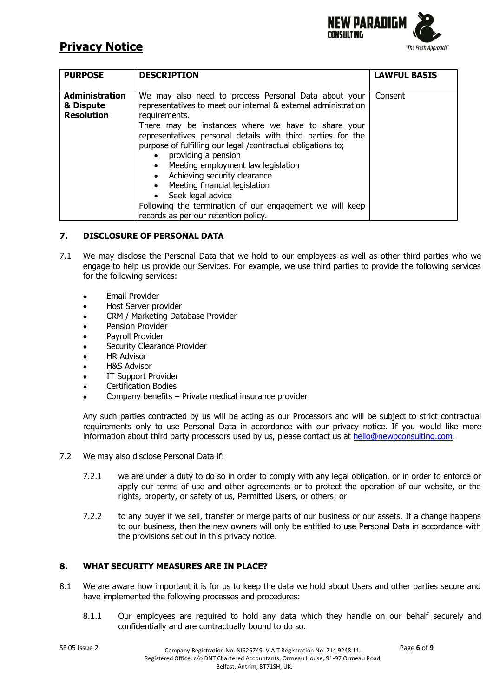

| <b>PURPOSE</b>                                          | <b>DESCRIPTION</b>                                                                                                                                                                                                                                                                                                                                                                                                                                                                                                                                                                               | <b>LAWFUL BASIS</b> |
|---------------------------------------------------------|--------------------------------------------------------------------------------------------------------------------------------------------------------------------------------------------------------------------------------------------------------------------------------------------------------------------------------------------------------------------------------------------------------------------------------------------------------------------------------------------------------------------------------------------------------------------------------------------------|---------------------|
| <b>Administration</b><br>& Dispute<br><b>Resolution</b> | We may also need to process Personal Data about your<br>representatives to meet our internal & external administration<br>requirements.<br>There may be instances where we have to share your<br>representatives personal details with third parties for the<br>purpose of fulfilling our legal /contractual obligations to;<br>providing a pension<br>Meeting employment law legislation<br>$\bullet$<br>Achieving security clearance<br>Meeting financial legislation<br>Seek legal advice<br>Following the termination of our engagement we will keep<br>records as per our retention policy. | Consent             |

### **7. DISCLOSURE OF PERSONAL DATA**

- 7.1 We may disclose the Personal Data that we hold to our employees as well as other third parties who we engage to help us provide our Services. For example, we use third parties to provide the following services for the following services:
	- Email Provider
	- Host Server provider
	- CRM / Marketing Database Provider
	- Pension Provider
	- Payroll Provider
	- Security Clearance Provider
	- **HR Advisor**
	- **H&S Advisor**
	- IT Support Provider
	- Certification Bodies
	- Company benefits Private medical insurance provider

Any such parties contracted by us will be acting as our Processors and will be subject to strict contractual requirements only to use Personal Data in accordance with our privacy notice. If you would like more information about third party processors used by us, please contact us at [hello@newpconsulting.com.](mailto:dpo@newpconsulting.com)

- 7.2 We may also disclose Personal Data if:
	- 7.2.1 we are under a duty to do so in order to comply with any legal obligation, or in order to enforce or apply our terms of use and other agreements or to protect the operation of our website, or the rights, property, or safety of us, Permitted Users, or others; or
	- 7.2.2 to any buyer if we sell, transfer or merge parts of our business or our assets. If a change happens to our business, then the new owners will only be entitled to use Personal Data in accordance with the provisions set out in this privacy notice.

## **8. WHAT SECURITY MEASURES ARE IN PLACE?**

- 8.1 We are aware how important it is for us to keep the data we hold about Users and other parties secure and have implemented the following processes and procedures:
	- 8.1.1 Our employees are required to hold any data which they handle on our behalf securely and confidentially and are contractually bound to do so.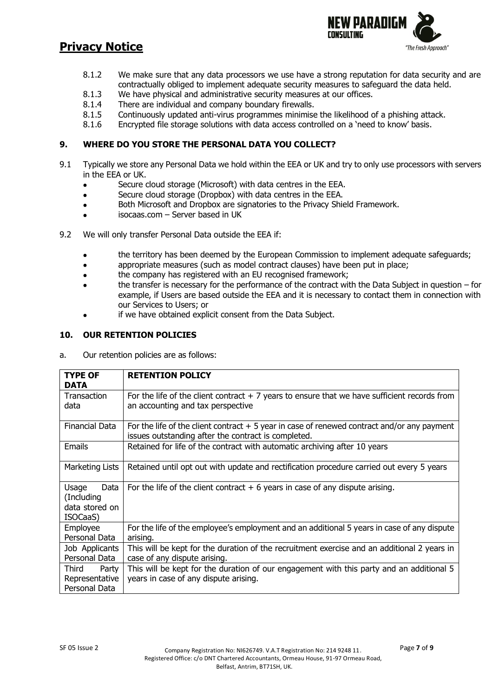

- 8.1.2 We make sure that any data processors we use have a strong reputation for data security and are contractually obliged to implement adequate security measures to safeguard the data held.
- 8.1.3 We have physical and administrative security measures at our offices.
- 8.1.4 There are individual and company boundary firewalls.
- 8.1.5 Continuously updated anti-virus programmes minimise the likelihood of a phishing attack.
- 8.1.6 Encrypted file storage solutions with data access controlled on a 'need to know' basis.

# **9. WHERE DO YOU STORE THE PERSONAL DATA YOU COLLECT?**

- 9.1 Typically we store any Personal Data we hold within the EEA or UK and try to only use processors with servers in the EEA or UK.
	- Secure cloud storage (Microsoft) with data centres in the EEA.
	- Secure cloud storage (Dropbox) with data centres in the EEA.
	- Both Microsoft and Dropbox are signatories to the Privacy Shield Framework.
	- isocaas.com Server based in UK
- 9.2 We will only transfer Personal Data outside the EEA if:
	- the territory has been deemed by the European Commission to implement adequate safeguards;
	- appropriate measures (such as model contract clauses) have been put in place;
	- the company has registered with an EU recognised framework;
	- the transfer is necessary for the performance of the contract with the Data Subject in question for example, if Users are based outside the EEA and it is necessary to contact them in connection with our Services to Users; or
	- if we have obtained explicit consent from the Data Subject.

### **10. OUR RETENTION POLICIES**

a. Our retention policies are as follows:

| <b>TYPE OF</b><br><b>DATA</b>                             | <b>RETENTION POLICY</b>                                                                                                                             |
|-----------------------------------------------------------|-----------------------------------------------------------------------------------------------------------------------------------------------------|
| Transaction<br>data                                       | For the life of the client contract $+7$ years to ensure that we have sufficient records from<br>an accounting and tax perspective                  |
| <b>Financial Data</b>                                     | For the life of the client contract $+5$ year in case of renewed contract and/or any payment<br>issues outstanding after the contract is completed. |
| <b>Emails</b>                                             | Retained for life of the contract with automatic archiving after 10 years                                                                           |
| Marketing Lists                                           | Retained until opt out with update and rectification procedure carried out every 5 years                                                            |
| Usage<br>Data<br>(Including<br>data stored on<br>ISOCaaS) | For the life of the client contract $+6$ years in case of any dispute arising.                                                                      |
| Employee<br>Personal Data                                 | For the life of the employee's employment and an additional 5 years in case of any dispute<br>arising.                                              |
| Job Applicants<br>Personal Data                           | This will be kept for the duration of the recruitment exercise and an additional 2 years in<br>case of any dispute arising.                         |
| Third<br>Party<br>Representative<br>Personal Data         | This will be kept for the duration of our engagement with this party and an additional 5<br>years in case of any dispute arising.                   |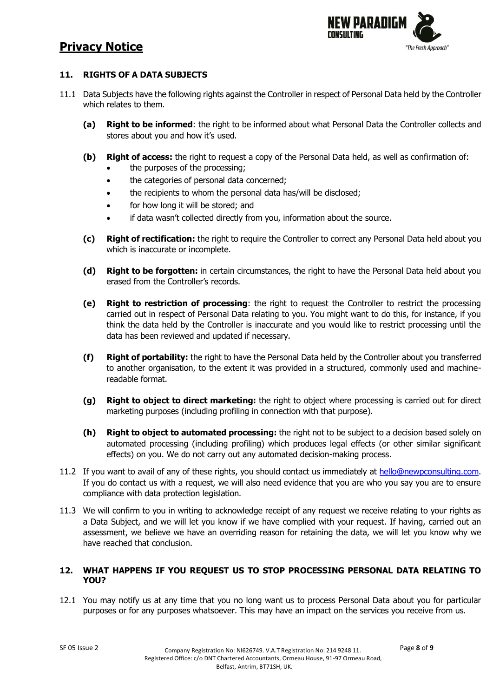

# **11. RIGHTS OF A DATA SUBJECTS**

- 11.1 Data Subjects have the following rights against the Controller in respect of Personal Data held by the Controller which relates to them.
	- **(a) Right to be informed**: the right to be informed about what Personal Data the Controller collects and stores about you and how it's used.
	- **(b) Right of access:** the right to request a copy of the Personal Data held, as well as confirmation of:
		- the purposes of the processing;
		- the categories of personal data concerned;
		- the recipients to whom the personal data has/will be disclosed;
		- for how long it will be stored; and
		- if data wasn't collected directly from you, information about the source.
	- **(c) Right of rectification:** the right to require the Controller to correct any Personal Data held about you which is inaccurate or incomplete.
	- **(d) Right to be forgotten:** in certain circumstances, the right to have the Personal Data held about you erased from the Controller's records.
	- **(e) Right to restriction of processing**: the right to request the Controller to restrict the processing carried out in respect of Personal Data relating to you. You might want to do this, for instance, if you think the data held by the Controller is inaccurate and you would like to restrict processing until the data has been reviewed and updated if necessary.
	- **(f) Right of portability:** the right to have the Personal Data held by the Controller about you transferred to another organisation, to the extent it was provided in a structured, commonly used and machinereadable format.
	- **(g) Right to object to direct marketing:** the right to object where processing is carried out for direct marketing purposes (including profiling in connection with that purpose).
	- **(h) Right to object to automated processing:** the right not to be subject to a decision based solely on automated processing (including profiling) which produces legal effects (or other similar significant effects) on you. We do not carry out any automated decision-making process.
- 11.2 If you want to avail of any of these rights, you should contact us immediately at [hello@newpconsulting.com.](mailto:dpo@newpconsulting.com) If you do contact us with a request, we will also need evidence that you are who you say you are to ensure compliance with data protection legislation.
- 11.3 We will confirm to you in writing to acknowledge receipt of any request we receive relating to your rights as a Data Subject, and we will let you know if we have complied with your request. If having, carried out an assessment, we believe we have an overriding reason for retaining the data, we will let you know why we have reached that conclusion.

## **12. WHAT HAPPENS IF YOU REQUEST US TO STOP PROCESSING PERSONAL DATA RELATING TO YOU?**

12.1 You may notify us at any time that you no long want us to process Personal Data about you for particular purposes or for any purposes whatsoever. This may have an impact on the services you receive from us.